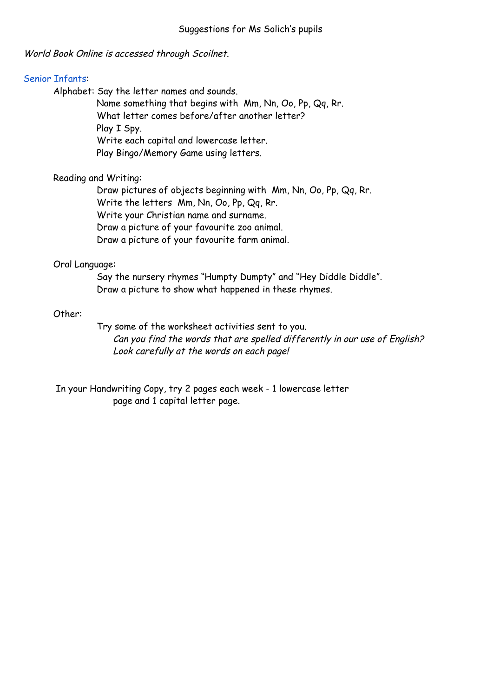World Book Online is accessed through Scoilnet.

## Senior Infants:

Alphabet: Say the letter names and sounds.

Name something that begins with Mm, Nn, Oo, Pp, Qq, Rr. What letter comes before/after another letter? Play I Spy. Write each capital and lowercase letter. Play Bingo/Memory Game using letters.

# Reading and Writing:

Draw pictures of objects beginning with Mm, Nn, Oo, Pp, Qq, Rr. Write the letters Mm, Nn, Oo, Pp, Qq, Rr. Write your Christian name and surname. Draw a picture of your favourite zoo animal. Draw a picture of your favourite farm animal.

# Oral Language:

Say the nursery rhymes "Humpty Dumpty" and "Hey Diddle Diddle". Draw a picture to show what happened in these rhymes.

# Other:

Try some of the worksheet activities sent to you. Can you find the words that are spelled differently in our use of English? Look carefully at the words on each page!

In your Handwriting Copy, try 2 pages each week - 1 lowercase letter page and 1 capital letter page.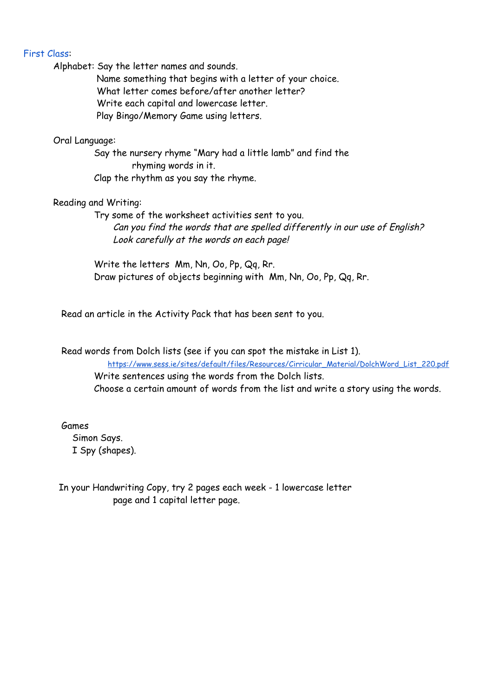#### First Class:

Alphabet: Say the letter names and sounds.

Name something that begins with a letter of your choice. What letter comes before/after another letter? Write each capital and lowercase letter. Play Bingo/Memory Game using letters.

## Oral Language:

Say the nursery rhyme "Mary had a little lamb" and find the rhyming words in it. Clap the rhythm as you say the rhyme.

#### Reading and Writing:

Try some of the worksheet activities sent to you. Can you find the words that are spelled differently in our use of English? Look carefully at the words on each page!

Write the letters Mm, Nn, Oo, Pp, Qq, Rr. Draw pictures of objects beginning with Mm, Nn, Oo, Pp, Qq, Rr.

Read an article in the Activity Pack that has been sent to you.

Read words from Dolch lists (see if you can spot the mistake in List 1). [https://www.sess.ie/sites/default/files/Resources/Cirricular\\_Material/DolchWord\\_List\\_220.pdf](https://www.sess.ie/sites/default/files/Resources/Cirricular_Material/DolchWord_List_220.pdf) Write sentences using the words from the Dolch lists. Choose a certain amount of words from the list and write a story using the words.

Games Simon Says. I Spy (shapes).

In your Handwriting Copy, try 2 pages each week - 1 lowercase letter page and 1 capital letter page.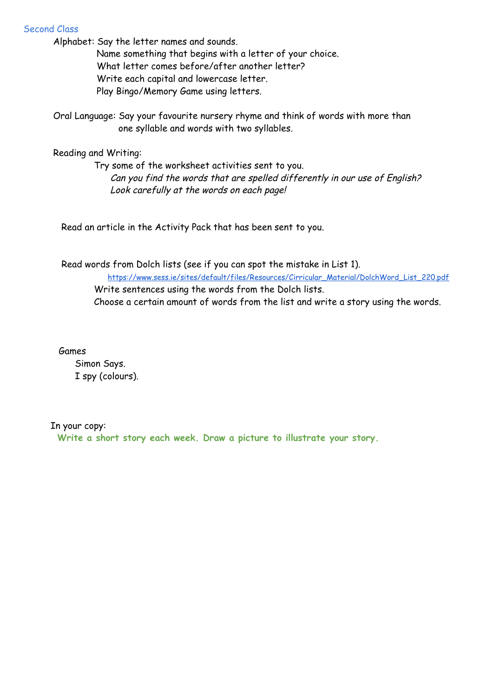# Second Class

Alphabet: Say the letter names and sounds.

Name something that begins with a letter of your choice. What letter comes before/after another letter? Write each capital and lowercase letter. Play Bingo/Memory Game using letters.

Oral Language: Say your favourite nursery rhyme and think of words with more than one syllable and words with two syllables.

Reading and Writing:

Try some of the worksheet activities sent to you. Can you find the words that are spelled differently in our use of English? Look carefully at the words on each page!

Read an article in the Activity Pack that has been sent to you.

Read words from Dolch lists (see if you can spot the mistake in List 1). [https://www.sess.ie/sites/default/files/Resources/Cirricular\\_Material/DolchWord\\_List\\_220.pdf](https://www.sess.ie/sites/default/files/Resources/Cirricular_Material/DolchWord_List_220.pdf) Write sentences using the words from the Dolch lists. Choose a certain amount of words from the list and write a story using the words.

Games

Simon Says. I spy (colours).

## In your copy:

**Write a short story each week. Draw a picture to illustrate your story.**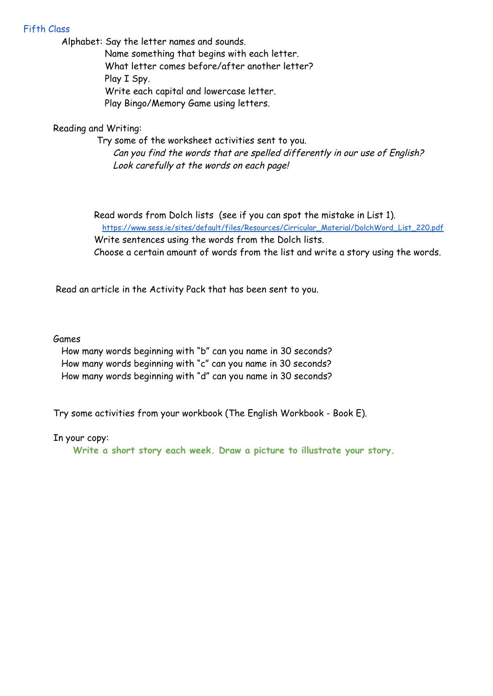# Fifth Class

Alphabet: Say the letter names and sounds.

Name something that begins with each letter. What letter comes before/after another letter? Play I Spy. Write each capital and lowercase letter. Play Bingo/Memory Game using letters.

# Reading and Writing:

Try some of the worksheet activities sent to you. Can you find the words that are spelled differently in our use of English? Look carefully at the words on each page!

Read words from Dolch lists (see if you can spot the mistake in List 1). [https://www.sess.ie/sites/default/files/Resources/Cirricular\\_Material/DolchWord\\_List\\_220.pdf](https://www.sess.ie/sites/default/files/Resources/Cirricular_Material/DolchWord_List_220.pdf) Write sentences using the words from the Dolch lists.

Choose a certain amount of words from the list and write a story using the words.

Read an article in the Activity Pack that has been sent to you.

## Games

How many words beginning with "b" can you name in 30 seconds? How many words beginning with "c" can you name in 30 seconds? How many words beginning with "d" can you name in 30 seconds?

Try some activities from your workbook (The English Workbook - Book E).

## In your copy:

**Write a short story each week. Draw a picture to illustrate your story.**